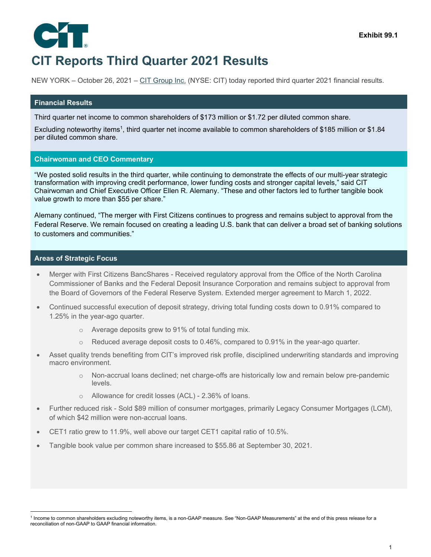

# **CIT Reports Third Quarter 2021 Results**

NEW YORK – October 26, 2021 – CIT Group Inc. (NYSE: CIT) today reported third quarter 2021 financial results.

### **Financial Results**

Third quarter net income to common shareholders of \$173 million or \$1.72 per diluted common share.

Excluding noteworthy items<sup>1</sup>, third quarter net income available to common shareholders of \$185 million or \$1.84 per diluted common share.

### **Chairwoman and CEO Commentary**

"We posted solid results in the third quarter, while continuing to demonstrate the effects of our multi-year strategic transformation with improving credit performance, lower funding costs and stronger capital levels," said CIT Chairwoman and Chief Executive Officer Ellen R. Alemany. "These and other factors led to further tangible book value growth to more than \$55 per share."

Alemany continued, "The merger with First Citizens continues to progress and remains subject to approval from the Federal Reserve. We remain focused on creating a leading U.S. bank that can deliver a broad set of banking solutions to customers and communities."

### **Areas of Strategic Focus**

- Merger with First Citizens BancShares Received regulatory approval from the Office of the North Carolina Commissioner of Banks and the Federal Deposit Insurance Corporation and remains subject to approval from the Board of Governors of the Federal Reserve System. Extended merger agreement to March 1, 2022.
- Continued successful execution of deposit strategy, driving total funding costs down to 0.91% compared to 1.25% in the year-ago quarter.
	- o Average deposits grew to 91% of total funding mix.
	- $\circ$  Reduced average deposit costs to 0.46%, compared to 0.91% in the year-ago quarter.
- Asset quality trends benefiting from CIT's improved risk profile, disciplined underwriting standards and improving macro environment.
	- o Non-accrual loans declined; net charge-offs are historically low and remain below pre-pandemic levels.
	- o Allowance for credit losses (ACL) 2.36% of loans.
- Further reduced risk Sold \$89 million of consumer mortgages, primarily Legacy Consumer Mortgages (LCM), of which \$42 million were non-accrual loans.
- CET1 ratio grew to 11.9%, well above our target CET1 capital ratio of 10.5%.
- Tangible book value per common share increased to \$55.86 at September 30, 2021.

<sup>1</sup> Income to common shareholders excluding noteworthy items, is a non-GAAP measure. See "Non-GAAP Measurements" at the end of this press release for a reconciliation of non-GAAP to GAAP financial information.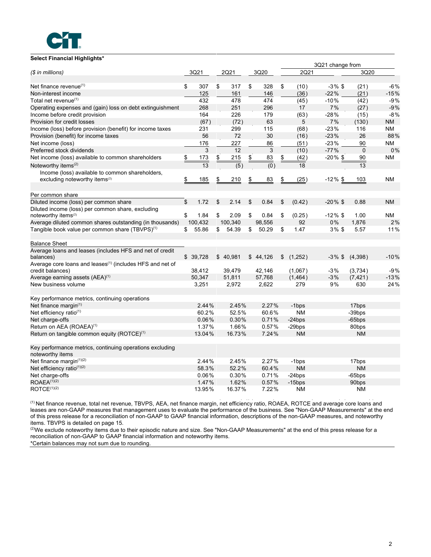

### **Select Financial Highlights\***

|                                                                                              |             |                  |                  |              | 3Q21 change from |                   |           |
|----------------------------------------------------------------------------------------------|-------------|------------------|------------------|--------------|------------------|-------------------|-----------|
| (\$ in millions)                                                                             | 3Q21        | 2Q21             | 3Q20             | 2Q21         |                  | 3Q20              |           |
| Net finance revenue <sup>(1)</sup>                                                           | \$<br>307   | \$<br>317        | \$<br>328        | \$<br>(10)   | $-3\%$ \$        | (21)              | $-6%$     |
| Non-interest income                                                                          | 125         | 161              | 146              | (36)         | $-22%$           | (21)              | $-15%$    |
| Total net revenue <sup>(1)</sup>                                                             | 432         | 478              | 474              | (45)         | $-10%$           | (42)              | $-9%$     |
| Operating expenses and (gain) loss on debt extinguishment                                    | 268         | 251              | 296              | 17           | 7%               | (27)              | $-9%$     |
| Income before credit provision                                                               | 164         | 226              | 179              | (63)         | $-28%$           | (15)              | $-8%$     |
| Provision for credit losses                                                                  | (67)        | (72)             | 63               | 5            | 7%               | (130)             | <b>NM</b> |
| Income (loss) before provision (benefit) for income taxes                                    | 231         | 299              | 115              | (68)         | $-23%$           | 116               | ΝM        |
| Provision (benefit) for income taxes                                                         | 56          | 72               | 30               | (16)         | $-23%$           | 26                | 88%       |
| Net income (loss)                                                                            | 176         | 227              | 86               | (51)         | $-23%$           | 90                | <b>NM</b> |
| Preferred stock dividends                                                                    | 3           | 12               | 3                | (10)         | $-77%$           | $\mathbf{0}$      | 0%        |
| Net income (loss) available to common shareholders                                           | \$<br>173   | \$<br>215        | \$<br>83         | \$<br>(42)   | $-20\%$ \$       | 90                | <b>NM</b> |
| Noteworthy items <sup>(2)</sup>                                                              | 13          | $\overline{(5)}$ | $\overline{(0)}$ | 18           |                  | 13                |           |
| Income (loss) available to common shareholders,<br>excluding noteworthy items <sup>(2)</sup> | \$<br>185   | \$<br>210        | \$<br>83         | \$<br>(25)   | $-12\%$ \$       | 103               | <b>NM</b> |
| Per common share                                                                             |             |                  |                  |              |                  |                   |           |
| Diluted income (loss) per common share                                                       | \$<br>1.72  | \$<br>2.14       | \$<br>0.84       | \$<br>(0.42) | $-20\%$ \$       | 0.88              | <b>NM</b> |
| Diluted income (loss) per common share, excluding                                            |             |                  |                  |              |                  |                   |           |
| noteworthy items <sup>(2)</sup>                                                              | \$<br>1.84  | \$<br>2.09       | \$<br>0.84       | \$<br>(0.25) | $-12\%$ \$       | 1.00              | <b>NM</b> |
| Average diluted common shares outstanding (in thousands)                                     | 100,432     | 100,340          | 98,556           | 92           | 0%               | 1,876             | 2%        |
| Tangible book value per common share $(TBVPS)^{(1)}$                                         | \$<br>55.86 | \$<br>54.39      | \$<br>50.29      | \$<br>1.47   | $3\%$ \$         | 5.57              | 11%       |
| <b>Balance Sheet</b>                                                                         |             |                  |                  |              |                  |                   |           |
| Average loans and leases (includes HFS and net of credit                                     |             |                  |                  |              |                  |                   |           |
| balances)                                                                                    | \$39,728    | \$40,981         | \$44,126         | \$(1,252)    | $-3\%$ \$        | (4,398)           | $-10%$    |
| Average core loans and leases <sup>(1)</sup> (includes HFS and net of                        |             |                  |                  |              |                  |                   |           |
| credit balances)                                                                             | 38,412      | 39,479           | 42,146           | (1,067)      | $-3%$            | (3,734)           | $-9%$     |
| Average earning assets (AEA) <sup>(1)</sup>                                                  | 50,347      | 51,811           | 57,768           | (1, 464)     | $-3%$            | (7, 421)          | $-13%$    |
| New business volume                                                                          | 3,251       | 2,972            | 2,622            | 279          | 9%               | 630               | 24%       |
| Key performance metrics, continuing operations                                               |             |                  |                  |              |                  |                   |           |
| Net finance margin $(1)$                                                                     | 2.44%       | 2.45%            | 2.27%            | -1bps        |                  | 17bps             |           |
| Net efficiency ratio <sup>(1)</sup>                                                          | 60.2%       | 52.5%            | 60.6%            | <b>NM</b>    |                  | -39bps            |           |
| Net charge-offs                                                                              | 0.06%       | 0.30%            | 0.71%            | $-24$ bps    |                  | $-65$ bps         |           |
| Return on AEA (ROAEA) <sup>(1)</sup>                                                         | 1.37%       | 1.66%            | 0.57%            | $-29$ bps    |                  | 80bps             |           |
| Return on tangible common equity (ROTCE) <sup>(1)</sup>                                      | 13.04%      | 16.73%           | 7.24%            | <b>NM</b>    |                  | <b>NM</b>         |           |
| Key performance metrics, continuing operations excluding<br>noteworthy items                 |             |                  |                  |              |                  |                   |           |
| Net finance margin(1)(2)                                                                     | 2.44%       | 2.45%            | 2.27%            | -1bps        |                  | 17bps             |           |
| Net efficiency ratio(1)(2)                                                                   | 58.3%       | 52.2%            | 60.4%            | <b>NM</b>    |                  | <b>NM</b>         |           |
| Net charge-offs                                                                              | 0.06%       | 0.30%            | 0.71%            | $-24bps$     |                  | $-65$ bps         |           |
| ROAEA <sup>(1)(2)</sup>                                                                      | 1.47%       | 1.62%            | 0.57%            | $-15$ bps    |                  | 90 <sub>bps</sub> |           |
| ROICE <sup>(1)(2)</sup>                                                                      | 13.95%      | 16.37%           | 7.22%            | <b>NM</b>    |                  | <b>NM</b>         |           |

 (1) Net finance revenue, total net revenue, TBVPS, AEA, net finance margin, net efficiency ratio, ROAEA, ROTCE and average core loans and leases are non-GAAP measures that management uses to evaluate the performance of the business. See "Non-GAAP Measurements" at the end of this press release for a reconciliation of non-GAAP to GAAP financial information, descriptions of the non-GAAP measures, and noteworthy items. TBVPS is detailed on page 15.

<sup>(2)</sup>We exclude noteworthy items due to their episodic nature and size. See "Non-GAAP Measurements" at the end of this press release for a reconciliation of non-GAAP to GAAP financial information and noteworthy items.

\*Certain balances may not sum due to rounding.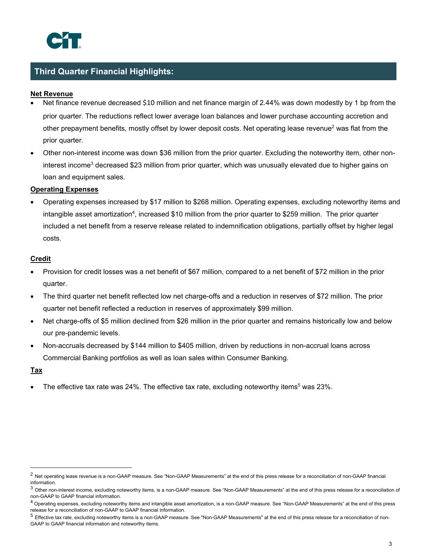# **Third Quarter Financial Highlights:**

# **Net Revenue**

- Net finance revenue decreased \$10 million and net finance margin of 2.44% was down modestly by 1 bp from the prior quarter. The reductions reflect lower average loan balances and lower purchase accounting accretion and other prepayment benefits, mostly offset by lower deposit costs. Net operating lease revenue<sup>2</sup> was flat from the prior quarter.
- Other non-interest income was down \$36 million from the prior quarter. Excluding the noteworthy item, other noninterest income<sup>3</sup> decreased \$23 million from prior quarter, which was unusually elevated due to higher gains on loan and equipment sales.

## **Operating Expenses**

 Operating expenses increased by \$17 million to \$268 million. Operating expenses, excluding noteworthy items and intangible asset amortization<sup>4</sup>, increased \$10 million from the prior quarter to \$259 million. The prior quarter included a net benefit from a reserve release related to indemnification obligations, partially offset by higher legal costs.

## **Credit**

- Provision for credit losses was a net benefit of \$67 million, compared to a net benefit of \$72 million in the prior quarter.
- The third quarter net benefit reflected low net charge-offs and a reduction in reserves of \$72 million. The prior quarter net benefit reflected a reduction in reserves of approximately \$99 million.
- Net charge-offs of \$5 million declined from \$26 million in the prior quarter and remains historically low and below our pre-pandemic levels.
- Non-accruals decreased by \$144 million to \$405 million, driven by reductions in non-accrual loans across Commercial Banking portfolios as well as loan sales within Consumer Banking.

### **Tax**

The effective tax rate was 24%. The effective tax rate, excluding noteworthy items<sup>5</sup> was 23%.

 $^2$  Net operating lease revenue is a non-GAAP measure. See "Non-GAAP Measurements" at the end of this press release for a reconciliation of non-GAAP financial information.

<sup>&</sup>lt;sup>3</sup> Other non-interest income, excluding noteworthy items, is a non-GAAP measure. See "Non-GAAP Measurements" at the end of this press release for a reconciliation of non-GAAP to GAAP financial information.

 $^4$  Operating expenses, excluding noteworthy items and intangible asset amortization, is a non-GAAP measure. See "Non-GAAP Measurements" at the end of this press release for a reconciliation of non-GAAP to GAAP financial information.

<sup>&</sup>lt;sup>5</sup> Effective tax rate, excluding noteworthy items is a non-GAAP measure. See "Non-GAAP Measurements" at the end of this press release for a reconciliation of non-GAAP to GAAP financial information and noteworthy items.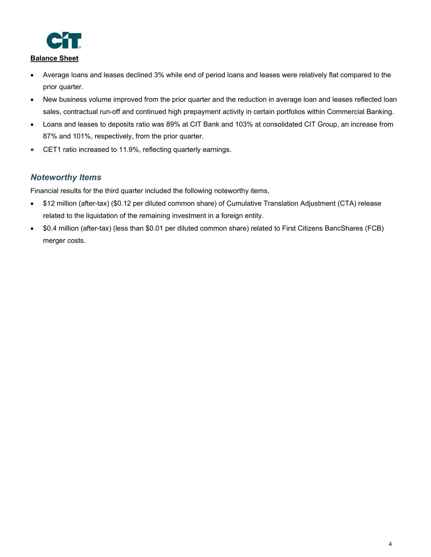

# **Balance Sheet**

- Average loans and leases declined 3% while end of period loans and leases were relatively flat compared to the prior quarter.
- New business volume improved from the prior quarter and the reduction in average loan and leases reflected loan sales, contractual run-off and continued high prepayment activity in certain portfolios within Commercial Banking.
- Loans and leases to deposits ratio was 89% at CIT Bank and 103% at consolidated CIT Group, an increase from 87% and 101%, respectively, from the prior quarter.
- CET1 ratio increased to 11.9%, reflecting quarterly earnings.

# *Noteworthy Items*

Financial results for the third quarter included the following noteworthy items,

- \$12 million (after-tax) (\$0.12 per diluted common share) of Cumulative Translation Adjustment (CTA) release related to the liquidation of the remaining investment in a foreign entity.
- \$0.4 million (after-tax) (less than \$0.01 per diluted common share) related to First Citizens BancShares (FCB) merger costs.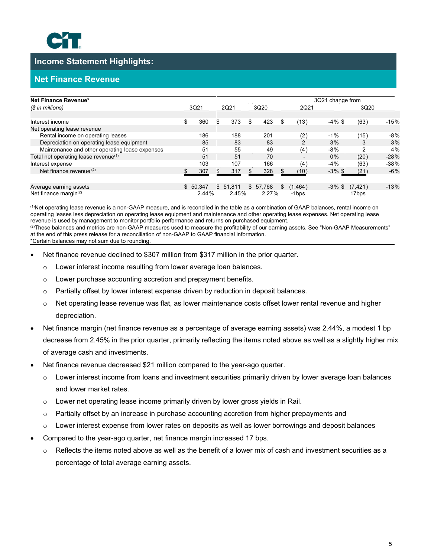

# **Income Statement Highlights:**

# **Net Finance Revenue**

| Net Finance Revenue*                             |           |     |          |    |          |     |                          | 3Q21 change from |          |        |
|--------------------------------------------------|-----------|-----|----------|----|----------|-----|--------------------------|------------------|----------|--------|
| $(S \in \mathbb{R})$ in millions)                | 3Q21      |     | 2Q21     |    | 3Q20     |     | 2Q21                     |                  | 3Q20     |        |
|                                                  |           |     |          |    |          |     |                          |                  |          |        |
| Interest income                                  | \$<br>360 | \$  | 373      | \$ | 423      | \$  | (13)                     | $-4\%$ \$        | (63)     | $-15%$ |
| Net operating lease revenue                      |           |     |          |    |          |     |                          |                  |          |        |
| Rental income on operating leases                | 186       |     | 188      |    | 201      |     | (2)                      | $-1%$            | (15)     | $-8%$  |
| Depreciation on operating lease equipment        | 85        |     | 83       |    | 83       |     | $\mathcal{P}$            | 3%               | 3        | 3%     |
| Maintenance and other operating lease expenses   | 51        |     | 55       |    | 49       |     | (4)                      | $-8%$            | 2        | 4%     |
| Total net operating lease revenue <sup>(1)</sup> | 51        |     | 51       |    | 70       |     | $\overline{\phantom{0}}$ | 0%               | (20)     | $-28%$ |
| Interest expense                                 | 103       |     | 107      |    | 166      |     | (4)                      | $-4%$            | (63)     | $-38%$ |
| Net finance revenue $(2)$                        | 307       | \$. | 317      | Я. | 328      |     | (10)                     | $-3\%$ \$        | (21)     | $-6%$  |
|                                                  |           |     |          |    |          |     |                          |                  |          |        |
| Average earning assets                           | \$50.347  |     | \$51,811 |    | \$57,768 | \$. | (1, 464)                 | $-3\%$ \$        | (7, 421) | $-13%$ |
| Net finance margin $(2)$                         | 2.44%     |     | 2.45%    |    | 2.27%    |     | -1bps                    |                  | 17bps    |        |

 (1)Net operating lease revenue is a non-GAAP measure, and is reconciled in the table as a combination of GAAP balances, rental income on operating leases less depreciation on operating lease equipment and maintenance and other operating lease expenses. Net operating lease revenue is used by management to monitor portfolio performance and returns on purchased equipment. <sup>(2)</sup>These balances and metrics are non-GAAP measures used to measure the profitability of our earning assets. See "Non-GAAP Measurements" at the end of this press release for a reconciliation of non-GAAP to GAAP financial information. \*Certain balances may not sum due to rounding.

- Net finance revenue declined to \$307 million from \$317 million in the prior quarter.
	- o Lower interest income resulting from lower average loan balances.
	- o Lower purchase accounting accretion and prepayment benefits.
	- $\circ$  Partially offset by lower interest expense driven by reduction in deposit balances.
	- $\circ$  Net operating lease revenue was flat, as lower maintenance costs offset lower rental revenue and higher depreciation.
- Net finance margin (net finance revenue as a percentage of average earning assets) was 2.44%, a modest 1 bp decrease from 2.45% in the prior quarter, primarily reflecting the items noted above as well as a slightly higher mix of average cash and investments.
- Net finance revenue decreased \$21 million compared to the year-ago quarter.
	- $\circ$  Lower interest income from loans and investment securities primarily driven by lower average loan balances and lower market rates.
	- $\circ$  Lower net operating lease income primarily driven by lower gross yields in Rail.
	- $\circ$  Partially offset by an increase in purchase accounting accretion from higher prepayments and
	- o Lower interest expense from lower rates on deposits as well as lower borrowings and deposit balances
- Compared to the year-ago quarter, net finance margin increased 17 bps.
	- $\circ$  Reflects the items noted above as well as the benefit of a lower mix of cash and investment securities as a percentage of total average earning assets.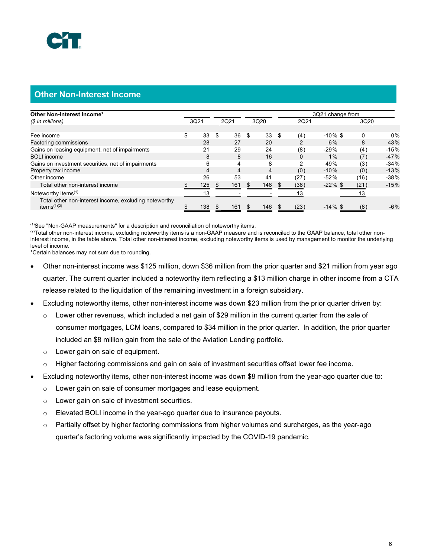# **Other Non-Interest Income**

| Other Non-Interest Income*                                              |          |     |      |           |           | 3Q21 change from |      |        |
|-------------------------------------------------------------------------|----------|-----|------|-----------|-----------|------------------|------|--------|
| $(S \in \mathbb{R})$ in millions)                                       | 3Q21     |     | 2Q21 | 3Q20      | 2Q21      |                  | 3Q20 |        |
|                                                                         |          |     |      |           |           |                  |      |        |
| Fee income                                                              | \$<br>33 | -\$ | 36   | \$<br>33  | \$<br>(4) | $-10\%$ \$       | 0    | $0\%$  |
| Factoring commissions                                                   | 28       |     | 27   | 20        |           | 6%               | 8    | 43%    |
| Gains on leasing equipment, net of impairments                          | 21       |     | 29   | 24        | (8)       | $-29%$           | (4)  | $-15%$ |
| <b>BOLI</b> income                                                      | 8        |     | 8    | 16        | 0         | $1\%$            | (7)  | $-47%$ |
| Gains on investment securities, net of impairments                      | 6        |     | 4    | 8         | 2         | 49%              | (3)  | $-34%$ |
| Property tax income                                                     | 4        |     | 4    | 4         | (0)       | $-10%$           | (0)  | $-13%$ |
| Other income                                                            | 26       |     | 53   | 41        | (27)      | $-52%$           | (16) | $-38%$ |
| Total other non-interest income                                         | 125      |     | 161  | 146       | (36)      | $-22\%$ \$       | (21) | $-15%$ |
| Noteworthy items $(1)$                                                  | 13       |     |      |           | 13        |                  | 13   |        |
| Total other non-interest income, excluding noteworthy<br>items $(1)(2)$ | 138      |     | 161  | \$<br>146 | (23)      | $-14\%$ \$       | (8)  | $-6\%$ |

(1)See "Non-GAAP measurements" for a description and reconciliation of noteworthy items.

<sup>(2)</sup>Total other non-interest income, excluding noteworthy items is a non-GAAP measure and is reconciled to the GAAP balance, total other noninterest income, in the table above. Total other non-interest income, excluding noteworthy items is used by management to monitor the underlying level of income.

\*Certain balances may not sum due to rounding.

- Other non-interest income was \$125 million, down \$36 million from the prior quarter and \$21 million from year ago quarter. The current quarter included a noteworthy item reflecting a \$13 million charge in other income from a CTA release related to the liquidation of the remaining investment in a foreign subsidiary.
- Excluding noteworthy items, other non-interest income was down \$23 million from the prior quarter driven by:
	- $\circ$  Lower other revenues, which included a net gain of \$29 million in the current quarter from the sale of consumer mortgages, LCM loans, compared to \$34 million in the prior quarter. In addition, the prior quarter included an \$8 million gain from the sale of the Aviation Lending portfolio.
	- o Lower gain on sale of equipment.
	- o Higher factoring commissions and gain on sale of investment securities offset lower fee income.
- Excluding noteworthy items, other non-interest income was down \$8 million from the year-ago quarter due to:
	- o Lower gain on sale of consumer mortgages and lease equipment.
	- o Lower gain on sale of investment securities.
	- o Elevated BOLI income in the year-ago quarter due to insurance payouts.
	- $\circ$  Partially offset by higher factoring commissions from higher volumes and surcharges, as the year-ago quarter's factoring volume was significantly impacted by the COVID-19 pandemic.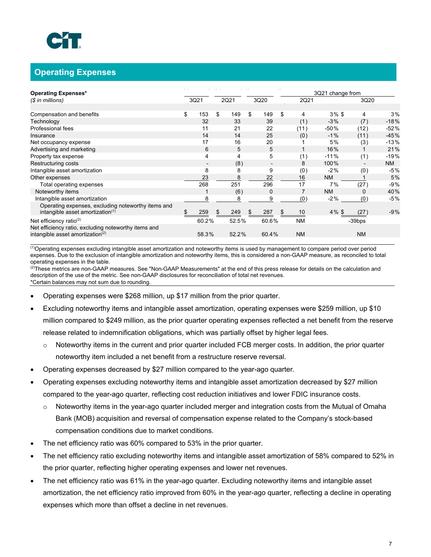# **Operating Expenses**

| <b>Operating Expenses*</b>                                                                  |           |           |    |                          |           | 3Q21 change from |                |        |
|---------------------------------------------------------------------------------------------|-----------|-----------|----|--------------------------|-----------|------------------|----------------|--------|
| (\$ in millions)                                                                            | 3Q21      | 2Q21      |    | 3Q20                     | 2Q21      |                  | 3Q20           |        |
|                                                                                             |           |           |    |                          |           |                  |                |        |
| Compensation and benefits                                                                   | \$<br>153 | \$<br>149 | \$ | 149                      | \$<br>4   | $3\%$ \$         | 4              | 3%     |
| Technology                                                                                  | 32        | 33        |    | 39                       | (1)       | $-3%$            | (7)            | $-18%$ |
| Professional fees                                                                           | 11        | 21        |    | 22                       | (11)      | $-50%$           | (12)           | $-52%$ |
| Insurance                                                                                   | 14        | 14        |    | 25                       | (0)       | $-1\%$           | (11)           | $-45%$ |
| Net occupancy expense                                                                       | 17        | 16        |    | 20                       |           | 5%               | (3)            | $-13%$ |
| Advertising and marketing                                                                   | 6         | 5         |    | 5                        |           | 16%              |                | 21%    |
| Property tax expense                                                                        | 4         | 4         |    | 5                        | (1)       | $-11%$           | (1)            | $-19%$ |
| Restructuring costs                                                                         |           | (8)       |    | $\overline{\phantom{a}}$ | 8         | 100%             | $\overline{a}$ | NM.    |
| Intangible asset amortization                                                               | 8         | 8         |    | 9                        | (0)       | $-2%$            | (0)            | $-5%$  |
| Other expenses                                                                              | 23        | 8         |    | 22                       | 16        | <b>NM</b>        |                | 5%     |
| Total operating expenses                                                                    | 268       | 251       |    | 296                      | 17        | 7%               | (27)           | $-9%$  |
| Noteworthy items                                                                            |           | (6)       |    | 0                        | 7         | <b>NM</b>        | $\Omega$       | 40%    |
| Intangible asset amortization                                                               | 8         | 8         |    | 9                        | (0)       | $-2\%$           | (0)            | $-5%$  |
| Operating expenses, excluding noteworthy items and<br>intangible asset amortization $(1)$   | 259       | 249       | S. | 287                      | 10        | $4\%$ \$         | (27)           | $-9%$  |
| Net efficiency ratio $(2)$                                                                  | 60.2%     | 52.5%     |    | 60.6%                    | <b>NM</b> |                  | -39bps         |        |
| Net efficiency ratio, excluding noteworthy items and<br>intangible asset amortization $(2)$ | 58.3%     | 52.2%     |    | 60.4%                    | <b>NM</b> |                  | <b>NM</b>      |        |

 $<sup>(1)</sup>$ Operating expenses excluding intangible asset amortization and noteworthy items is used by management to compare period over period</sup> expenses. Due to the exclusion of intangible amortization and noteworthy items, this is considered a non-GAAP measure, as reconciled to total operating expenses in the table.

 $^{(2)}$ These metrics are non-GAAP measures. See "Non-GAAP Measurements" at the end of this press release for details on the calculation and description of the use of the metric. See non-GAAP disclosures for reconciliation of total net revenues. \*Certain balances may not sum due to rounding.

- Operating expenses were \$268 million, up \$17 million from the prior quarter.
- Excluding noteworthy items and intangible asset amortization, operating expenses were \$259 million, up \$10 million compared to \$249 million, as the prior quarter operating expenses reflected a net benefit from the reserve release related to indemnification obligations, which was partially offset by higher legal fees.
	- $\circ$  Noteworthy items in the current and prior quarter included FCB merger costs. In addition, the prior quarter noteworthy item included a net benefit from a restructure reserve reversal.
- Operating expenses decreased by \$27 million compared to the year-ago quarter.
- Operating expenses excluding noteworthy items and intangible asset amortization decreased by \$27 million compared to the year-ago quarter, reflecting cost reduction initiatives and lower FDIC insurance costs.
	- o Noteworthy items in the year-ago quarter included merger and integration costs from the Mutual of Omaha Bank (MOB) acquisition and reversal of compensation expense related to the Company's stock-based compensation conditions due to market conditions.
- The net efficiency ratio was 60% compared to 53% in the prior quarter.
- The net efficiency ratio excluding noteworthy items and intangible asset amortization of 58% compared to 52% in the prior quarter, reflecting higher operating expenses and lower net revenues.
- The net efficiency ratio was 61% in the year-ago quarter. Excluding noteworthy items and intangible asset amortization, the net efficiency ratio improved from 60% in the year-ago quarter, reflecting a decline in operating expenses which more than offset a decline in net revenues.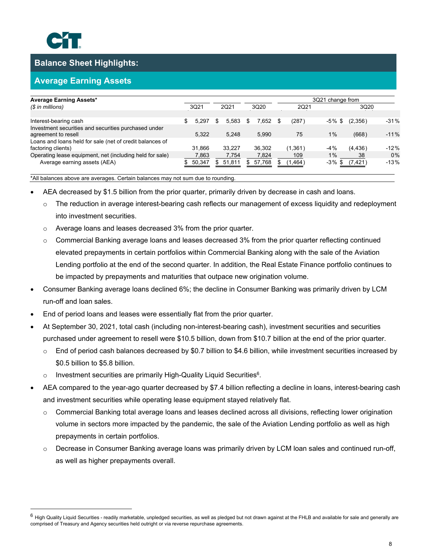

# **Balance Sheet Highlights:**

# **Average Earning Assets**

| <b>Average Earning Assets*</b>                           |             |       |            |   |          |             |        | 3Q21 change from |        |  |
|----------------------------------------------------------|-------------|-------|------------|---|----------|-------------|--------|------------------|--------|--|
| $(S \in \mathbb{R})$ in millions)                        | 3Q21        |       | 2Q21       |   | 3Q20     | 2Q21        |        | 3Q20             |        |  |
|                                                          |             |       |            |   |          |             |        |                  |        |  |
| Interest-bearing cash                                    | \$<br>5.297 |       | 5.583<br>S | S | 7.652    | \$<br>(287) | -5% \$ | (2,356)          | $-31%$ |  |
| Investment securities and securities purchased under     |             |       |            |   |          |             |        |                  |        |  |
| agreement to resell                                      | 5.322       |       | 5.248      |   | 5.990    | 75          | $1\%$  | (668)            | $-11%$ |  |
| Loans and loans held for sale (net of credit balances of |             |       |            |   |          |             |        |                  |        |  |
| factoring clients)                                       | 31.866      |       | 33.227     |   | 36.302   | (1,361)     | $-4%$  | (4, 436)         | $-12%$ |  |
| Operating lease equipment, net (including held for sale) |             | 7.863 | 7.754      |   | 7.824    | 109         | $1\%$  | 38               | 0%     |  |
| Average earning assets (AEA)                             | 50,347<br>S |       | \$51,811   |   | \$57,768 | (1, 464)    | -3% \$ | (7,421)          | $-13%$ |  |

\*All balances above are averages. Certain balances may not sum due to rounding.

- AEA decreased by \$1.5 billion from the prior quarter, primarily driven by decrease in cash and loans.
	- $\circ$  The reduction in average interest-bearing cash reflects our management of excess liquidity and redeployment into investment securities.
	- o Average loans and leases decreased 3% from the prior quarter.
	- o Commercial Banking average loans and leases decreased 3% from the prior quarter reflecting continued elevated prepayments in certain portfolios within Commercial Banking along with the sale of the Aviation Lending portfolio at the end of the second quarter. In addition, the Real Estate Finance portfolio continues to be impacted by prepayments and maturities that outpace new origination volume.
- Consumer Banking average loans declined 6%; the decline in Consumer Banking was primarily driven by LCM run-off and loan sales.
- End of period loans and leases were essentially flat from the prior quarter.
- At September 30, 2021, total cash (including non-interest-bearing cash), investment securities and securities purchased under agreement to resell were \$10.5 billion, down from \$10.7 billion at the end of the prior quarter.
	- $\circ$  End of period cash balances decreased by \$0.7 billion to \$4.6 billion, while investment securities increased by \$0.5 billion to \$5.8 billion.
	- $\circ$  Investment securities are primarily High-Quality Liquid Securities<sup>6</sup>.
- AEA compared to the year-ago quarter decreased by \$7.4 billion reflecting a decline in loans, interest-bearing cash and investment securities while operating lease equipment stayed relatively flat.
	- $\circ$  Commercial Banking total average loans and leases declined across all divisions, reflecting lower origination volume in sectors more impacted by the pandemic, the sale of the Aviation Lending portfolio as well as high prepayments in certain portfolios.
	- o Decrease in Consumer Banking average loans was primarily driven by LCM loan sales and continued run-off, as well as higher prepayments overall.

 $^6$  High Quality Liquid Securities - readily marketable, unpledged securities, as well as pledged but not drawn against at the FHLB and available for sale and generally are comprised of Treasury and Agency securities held outright or via reverse repurchase agreements.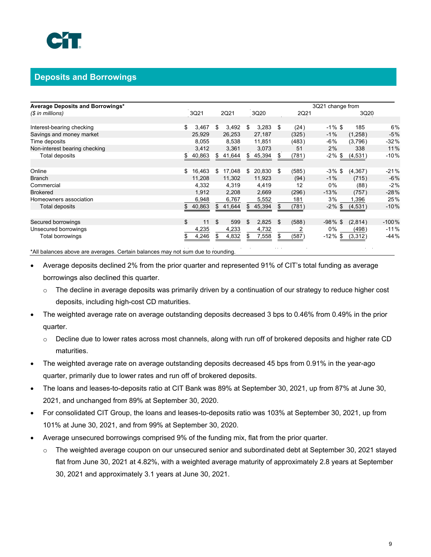

# **Deposits and Borrowings**

| (\$ in millions)              |              |    |        |     |        |    |       | 3Q21 change from     |          |         |
|-------------------------------|--------------|----|--------|-----|--------|----|-------|----------------------|----------|---------|
|                               | 3Q21         |    | 2Q21   |     | 3Q20   |    | 2Q21  |                      | 3Q20     |         |
|                               |              |    |        |     |        |    |       |                      |          |         |
| Interest-bearing checking     | \$<br>3,467  | \$ | 3,492  | \$  | 3,283  | \$ | (24)  | $-1\%$ \$            | 185      | 6%      |
| Savings and money market      | 25.929       |    | 26,253 |     | 27,187 |    | (325) | $-1\%$               | (1,258)  | $-5%$   |
| Time deposits                 | 8.055        |    | 8,538  |     | 11,851 |    | (483) | -6%                  | (3,796)  | $-32%$  |
| Non-interest bearing checking | 3,412        |    | 3,361  |     | 3,073  |    | 51    | 2%                   | 338      | 11%     |
| Total deposits                | \$<br>40,863 | \$ | 41,644 | \$. | 45,394 | S. | (781) | -2%<br>$\mathfrak s$ | (4, 531) | -10%    |
|                               |              |    |        |     |        |    |       |                      |          |         |
| Online                        | \$<br>16,463 | \$ | 17,048 | \$  | 20,830 | \$ | (585) | $-3\%$ \$            | (4,367)  | $-21%$  |
| <b>Branch</b>                 | 11.208       |    | 11,302 |     | 11,923 |    | (94)  | $-1%$                | (715)    | $-6\%$  |
| Commercial                    | 4,332        |    | 4,319  |     | 4,419  |    | 12    | 0%                   | (88)     | $-2%$   |
| <b>Brokered</b>               | 1.912        |    | 2,208  |     | 2,669  |    | (296) | $-13%$               | (757)    | $-28%$  |
| Homeowners association        | 6,948        |    | 6,767  |     | 5,552  |    | 181   | 3%                   | 1,396    | 25%     |
| Total deposits                | \$<br>40,863 | \$ | 41,644 | \$. | 45,394 | S  | (781) | $-2\%$<br>\$         | (4, 531) | $-10%$  |
|                               |              |    |        |     |        |    |       |                      |          |         |
| Secured borrowings            | \$<br>11     | \$ | 599    | \$  | 2.825  | \$ | (588) | $-98\%$ \$           | (2,814)  | $-100%$ |
| Unsecured borrowings          | 4,235        |    | 4,233  |     | 4,732  |    | 2     | 0%                   | (498)    | $-11%$  |
| Total borrowings              | 4,246        | S. | 4,832  | S   | 7,558  | \$ | (587) | $-12%$<br>\$.        | (3,312)  | -44%    |

\*All balances above are averages. Certain balances may not sum due to rounding.

- Average deposits declined 2% from the prior quarter and represented 91% of CIT's total funding as average borrowings also declined this quarter.
	- o The decline in average deposits was primarily driven by a continuation of our strategy to reduce higher cost deposits, including high-cost CD maturities.
- The weighted average rate on average outstanding deposits decreased 3 bps to 0.46% from 0.49% in the prior quarter.
	- o Decline due to lower rates across most channels, along with run off of brokered deposits and higher rate CD maturities.
- The weighted average rate on average outstanding deposits decreased 45 bps from 0.91% in the year-ago quarter, primarily due to lower rates and run off of brokered deposits.
- The loans and leases-to-deposits ratio at CIT Bank was 89% at September 30, 2021, up from 87% at June 30, 2021, and unchanged from 89% at September 30, 2020.
- For consolidated CIT Group, the loans and leases-to-deposits ratio was 103% at September 30, 2021, up from 101% at June 30, 2021, and from 99% at September 30, 2020.
- Average unsecured borrowings comprised 9% of the funding mix, flat from the prior quarter.
	- $\circ$  The weighted average coupon on our unsecured senior and subordinated debt at September 30, 2021 stayed flat from June 30, 2021 at 4.82%, with a weighted average maturity of approximately 2.8 years at September 30, 2021 and approximately 3.1 years at June 30, 2021.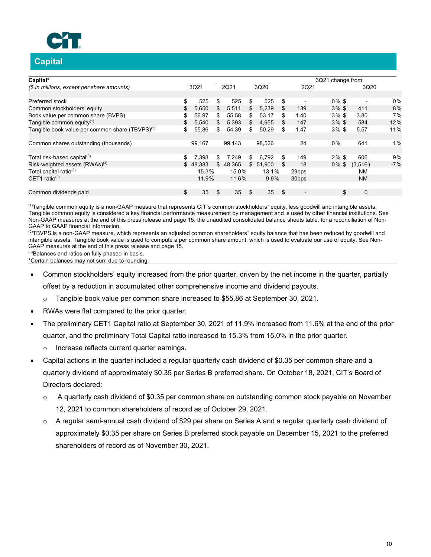

# **Capital**

| Capital*                                              |     |        |     |          |             |     |                          | 3Q21 change from |     |                          |       |
|-------------------------------------------------------|-----|--------|-----|----------|-------------|-----|--------------------------|------------------|-----|--------------------------|-------|
| (\$ in millions, except per share amounts)            |     | 3Q21   |     | 2Q21     | 3Q20        |     | 2Q21                     |                  |     | 3Q20                     |       |
| Preferred stock                                       | \$  | 525    | \$  | 525      | \$<br>525   | \$  | $\blacksquare$           | $0\%$ \$         |     | $\overline{\phantom{a}}$ | 0%    |
| Common stockholders' equity                           | \$  | 5.650  | \$  | 5,511    | \$<br>5,239 | S.  | 139                      | $3\%$ \$         |     | 411                      | 8%    |
| Book value per common share (BVPS)                    | \$  | 56.97  | \$  | 55.58    | \$<br>53.17 |     | 1.40                     | $3\%$ \$         |     | 3.80                     | 7%    |
| Tangible common equity $(1)$                          | \$  | 5.540  | \$. | 5,393    | \$<br>4.955 |     | 147                      | $3\%$ \$         |     | 584                      | 12%   |
| Tangible book value per common share (TBVPS) $^{(2)}$ | \$  | 55.86  | \$  | 54.39    | \$<br>50.29 | \$  | 1.47                     | $3\%$ \$         |     | 5.57                     | 11%   |
| Common shares outstanding (thousands)                 |     | 99,167 |     | 99,143   | 98,526      |     | 24                       | 0%               |     | 641                      | $1\%$ |
| Total risk-based capital <sup>(3)</sup>               | \$  | 7.398  | \$  | 7,249    | \$<br>6.792 | \$. | 149                      | $2\%$ \$         |     | 606                      | 9%    |
| Risk-weighted assets (RWAs) <sup>(3)</sup>            | \$. | 48.383 |     | \$48,365 | \$51,900    | S   | 18                       | $0\%$ \$         |     | (3,516)                  | $-7%$ |
| Total capital ratio <sup>(3)</sup>                    |     | 15.3%  |     | 15.0%    | 13.1%       |     | 29bps                    |                  |     | NM                       |       |
| CET1 ratio $(3)$                                      |     | 11.9%  |     | 11.6%    | 9.9%        |     | 30 <sub>bps</sub>        |                  |     | <b>NM</b>                |       |
| Common dividends paid                                 | \$  | 35     |     | 35       | \$<br>35    | \$  | $\overline{\phantom{0}}$ |                  | \$. | $\Omega$                 |       |

 $\frac{1}{10}$ Tangible common equity is a non-GAAP measure that represents CIT's common stockholders' equity, less goodwill and intangible assets. Tangible common equity is considered a key financial performance measurement by management and is used by other financial institutions. See Non-GAAP measures at the end of this press release and page 15, the unaudited consolidated balance sheets table, for a reconciliation of Non-GAAP to GAAP financial information.

(2)TBVPS is a non-GAAP measure, which represents an adjusted common shareholders' equity balance that has been reduced by goodwill and intangible assets. Tangible book value is used to compute a per common share amount, which is used to evaluate our use of equity. See Non-GAAP measures at the end of this press release and page 15.

(3)Balances and ratios on fully phased-in basis.

\*Certain balances may not sum due to rounding.

- Common stockholders' equity increased from the prior quarter, driven by the net income in the quarter, partially offset by a reduction in accumulated other comprehensive income and dividend payouts.
	- $\circ$  Tangible book value per common share increased to \$55.86 at September 30, 2021.
- RWAs were flat compared to the prior quarter.
- The preliminary CET1 Capital ratio at September 30, 2021 of 11.9% increased from 11.6% at the end of the prior quarter, and the preliminary Total Capital ratio increased to 15.3% from 15.0% in the prior quarter.
	- o Increase reflects current quarter earnings.
- Capital actions in the quarter included a regular quarterly cash dividend of \$0.35 per common share and a quarterly dividend of approximately \$0.35 per Series B preferred share. On October 18, 2021, CIT's Board of Directors declared:
	- $\circ$  A quarterly cash dividend of \$0.35 per common share on outstanding common stock payable on November 12, 2021 to common shareholders of record as of October 29, 2021.
	- $\circ$  A regular semi-annual cash dividend of \$29 per share on Series A and a regular quarterly cash dividend of approximately \$0.35 per share on Series B preferred stock payable on December 15, 2021 to the preferred shareholders of record as of November 30, 2021.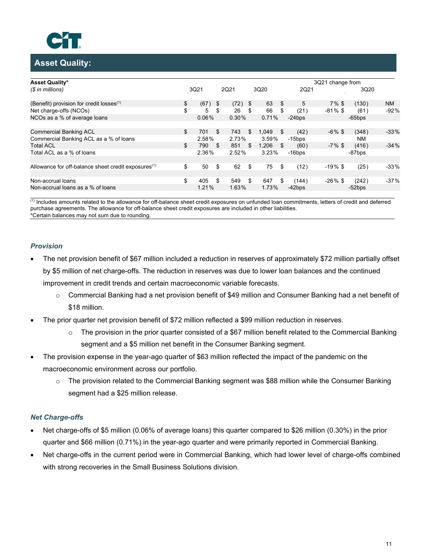

# **Asset Quality:**

| <b>Asset Quality*</b>                                           |            |            |           |             |     |           | 3Q21 change from |           |        |
|-----------------------------------------------------------------|------------|------------|-----------|-------------|-----|-----------|------------------|-----------|--------|
| (\$ in millions)                                                | 3Q21       |            | 2Q21      | 3Q20        |     | 2Q21      |                  | 3Q20      |        |
| (Benefit) provision for credit losses $(1)$                     | \$<br>(67) | $\sqrt{3}$ | $(72)$ \$ | 63          | \$  | 5         | $7\%$ \$         | (130)     | NM.    |
| Net charge-offs (NCOs)                                          | \$<br>5    | \$         | 26        | \$<br>66    | \$  | (21)      | $-81\%$ \$       | (61)      | $-92%$ |
| NCOs as a % of average loans                                    | 0.06%      |            | 0.30%     | 0.71%       |     | $-24$ bps |                  | $-65$ bps |        |
| <b>Commercial Banking ACL</b>                                   | \$<br>701  | \$         | 743       | \$<br>1.049 | \$. | (42)      | $-6\%$ \$        | (348)     | $-33%$ |
| Commercial Banking ACL as a % of loans                          | 2.58%      |            | 2.73%     | 3.59%       |     | $-15$ bps |                  | <b>NM</b> |        |
| <b>Total ACL</b>                                                | \$<br>790  | \$         | 851       | \$<br>1.206 | -\$ | (60)      | $-7\%$ \$        | (416)     | $-34%$ |
| Total ACL as a % of loans                                       | 2.36%      |            | 2.52%     | 3.23%       |     | $-16$ bps |                  | -87bps    |        |
| Allowance for off-balance sheet credit exposures <sup>(1)</sup> | \$<br>50   | \$         | 62        | \$<br>75    | \$  | (12)      | $-19\%$ \$       | (25)      | $-33%$ |
| Non-accrual loans                                               | \$<br>405  | \$         | 549       | \$<br>647   | \$  | (144)     | $-26\%$ \$       | (242)     | $-37%$ |
| Non-accrual loans as a % of loans                               | 1.21%      |            | 1.63%     | 1.73%       |     | $-42$ bps |                  | $-52$ bps |        |

(1) Includes amounts related to the allowance for off-balance sheet credit exposures on unfunded loan commitments, letters of credit and deferred purchase agreements. The allowance for off-balance sheet credit exposures are included in other liabilities. \*Certain balances may not sum due to rounding.

### *Provision*

- The net provision benefit of \$67 million included a reduction in reserves of approximately \$72 million partially offset by \$5 million of net charge-offs. The reduction in reserves was due to lower loan balances and the continued improvement in credit trends and certain macroeconomic variable forecasts.
	- $\circ$  Commercial Banking had a net provision benefit of \$49 million and Consumer Banking had a net benefit of \$18 million.
- The prior quarter net provision benefit of \$72 million reflected a \$99 million reduction in reserves.
	- $\circ$  The provision in the prior quarter consisted of a \$67 million benefit related to the Commercial Banking segment and a \$5 million net benefit in the Consumer Banking segment.
- The provision expense in the year-ago quarter of \$63 million reflected the impact of the pandemic on the macroeconomic environment across our portfolio.
	- o The provision related to the Commercial Banking segment was \$88 million while the Consumer Banking segment had a \$25 million release.

### *Net Charge-offs*

- Net charge-offs of \$5 million (0.06% of average loans) this quarter compared to \$26 million (0.30%) in the prior quarter and \$66 million (0.71%) in the year-ago quarter and were primarily reported in Commercial Banking.
- Net charge-offs in the current period were in Commercial Banking, which had lower level of charge-offs combined with strong recoveries in the Small Business Solutions division.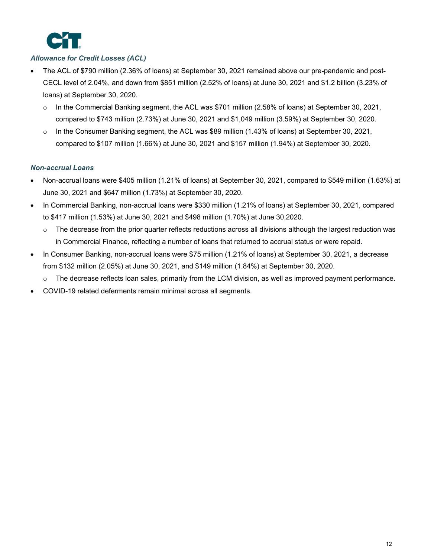

# *Allowance for Credit Losses (ACL)*

- The ACL of \$790 million (2.36% of loans) at September 30, 2021 remained above our pre-pandemic and post-CECL level of 2.04%, and down from \$851 million (2.52% of loans) at June 30, 2021 and \$1.2 billion (3.23% of loans) at September 30, 2020.
	- $\circ$  In the Commercial Banking segment, the ACL was \$701 million (2.58% of loans) at September 30, 2021, compared to \$743 million (2.73%) at June 30, 2021 and \$1,049 million (3.59%) at September 30, 2020.
	- o In the Consumer Banking segment, the ACL was \$89 million (1.43% of loans) at September 30, 2021, compared to \$107 million (1.66%) at June 30, 2021 and \$157 million (1.94%) at September 30, 2020.

### *Non-accrual Loans*

- Non-accrual loans were \$405 million (1.21% of loans) at September 30, 2021, compared to \$549 million (1.63%) at June 30, 2021 and \$647 million (1.73%) at September 30, 2020.
- In Commercial Banking, non-accrual loans were \$330 million (1.21% of loans) at September 30, 2021, compared to \$417 million (1.53%) at June 30, 2021 and \$498 million (1.70%) at June 30,2020.
	- $\circ$  The decrease from the prior quarter reflects reductions across all divisions although the largest reduction was in Commercial Finance, reflecting a number of loans that returned to accrual status or were repaid.
- In Consumer Banking, non-accrual loans were \$75 million (1.21% of loans) at September 30, 2021, a decrease from \$132 million (2.05%) at June 30, 2021, and \$149 million (1.84%) at September 30, 2020.
	- $\circ$  The decrease reflects loan sales, primarily from the LCM division, as well as improved payment performance.
- COVID-19 related deferments remain minimal across all segments.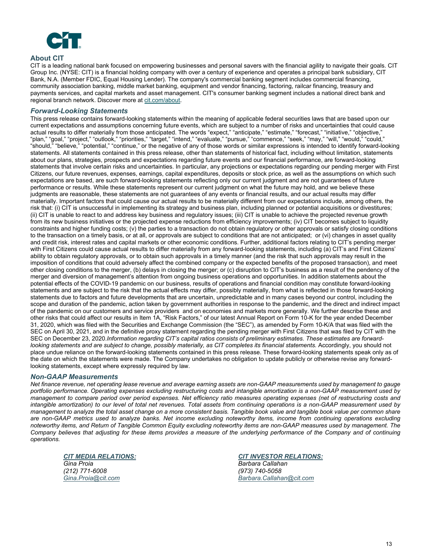

### **About CIT**

CIT is a leading national bank focused on empowering businesses and personal savers with the financial agility to navigate their goals. CIT Group Inc. (NYSE: CIT) is a financial holding company with over a century of experience and operates a principal bank subsidiary, CIT Bank, N.A. (Member FDIC, Equal Housing Lender). The company's commercial banking segment includes commercial financing, community association banking, middle market banking, equipment and vendor financing, factoring, railcar financing, treasury and payments services, and capital markets and asset management. CIT's consumer banking segment includes a national direct bank and regional branch network. Discover more at cit.com/about.

#### *Forward-Looking Statements*

This press release contains forward-looking statements within the meaning of applicable federal securities laws that are based upon our current expectations and assumptions concerning future events, which are subject to a number of risks and uncertainties that could cause actual results to differ materially from those anticipated. The words "expect," "anticipate," "estimate," "forecast," "initiative," "objective," "plan," "goal," "project," "outlook," "priorities," "target," "intend," "evaluate," "pursue," "commence," "seek," "may," "will," "would," "could," "should," "believe," "potential," "continue," or the negative of any of those words or similar expressions is intended to identify forward-looking statements. All statements contained in this press release, other than statements of historical fact, including without limitation, statements about our plans, strategies, prospects and expectations regarding future events and our financial performance, are forward-looking statements that involve certain risks and uncertainties. In particular, any projections or expectations regarding our pending merger with First Citizens, our future revenues, expenses, earnings, capital expenditures, deposits or stock price, as well as the assumptions on which such expectations are based, are such forward-looking statements reflecting only our current judgment and are not guarantees of future performance or results. While these statements represent our current judgment on what the future may hold, and we believe these judgments are reasonable, these statements are not guarantees of any events or financial results, and our actual results may differ materially. Important factors that could cause our actual results to be materially different from our expectations include, among others, the risk that: (i) CIT is unsuccessful in implementing its strategy and business plan, including planned or potential acquisitions or divestitures; (ii) CIT is unable to react to and address key business and regulatory issues; (iii) CIT is unable to achieve the projected revenue growth from its new business initiatives or the projected expense reductions from efficiency improvements; (iv) CIT becomes subject to liquidity constraints and higher funding costs; (v) the parties to a transaction do not obtain regulatory or other approvals or satisfy closing conditions to the transaction on a timely basis, or at all, or approvals are subject to conditions that are not anticipated; or (vi) changes in asset quality and credit risk, interest rates and capital markets or other economic conditions. Further, additional factors relating to CIT's pending merger with First Citizens could cause actual results to differ materially from any forward-looking statements, including (a) CIT's and First Citizens' ability to obtain regulatory approvals, or to obtain such approvals in a timely manner (and the risk that such approvals may result in the imposition of conditions that could adversely affect the combined company or the expected benefits of the proposed transaction), and meet other closing conditions to the merger, (b) delays in closing the merger; or (c) disruption to CIT's business as a result of the pendency of the merger and diversion of management's attention from ongoing business operations and opportunities. In addition statements about the potential effects of the COVID-19 pandemic on our business, results of operations and financial condition may constitute forward-looking statements and are subject to the risk that the actual effects may differ, possibly materially, from what is reflected in those forward-looking statements due to factors and future developments that are uncertain, unpredictable and in many cases beyond our control, including the scope and duration of the pandemic, action taken by government authorities in response to the pandemic, and the direct and indirect impact of the pandemic on our customers and service providers and on economies and markets more generally. We further describe these and other risks that could affect our results in Item 1A, "Risk Factors," of our latest Annual Report on Form 10-K for the year ended December 31, 2020, which was filed with the Securities and Exchange Commission (the "SEC"), as amended by Form 10-K/A that was filed with the SEC on April 30, 2021, and in the definitive proxy statement regarding the pending merger with First Citizens that was filed by CIT with the SEC on December 23, 2020.*Information regarding CIT's capital ratios consists of preliminary estimates. These estimates are forwardlooking statements and are subject to change, possibly materially, as CIT completes its financial statements. Accordingly, you should not* place undue reliance on the forward-looking statements contained in this press release. These forward-looking statements speak only as of the date on which the statements were made. The Company undertakes no obligation to update publicly or otherwise revise any forwardlooking statements, except where expressly required by law.

#### *Non-GAAP Measurements*

*Net finance revenue, net operating lease revenue and average earning assets are non-GAAP measurements used by management to gauge portfolio performance. Operating expenses excluding restructuring costs and intangible amortization is a non-GAAP measurement used by management to compare period over period expenses. Net efficiency ratio measures operating expenses (net of restructuring costs and intangible amortization) to our level of total net revenues. Total assets from continuing operations is a non-GAAP measurement used by management to analyze the total asset change on a more consistent basis. Tangible book value and tangible book value per common share are non-GAAP metrics used to analyze banks. Net income excluding noteworthy items, income from continuing operations excluding noteworthy items, and Return of Tangible Common Equity excluding noteworthy items are non-GAAP measures used by management. The Company believes that adjusting for these items provides a measure of the underlying performance of the Company and of continuing operations.* 

*(212) 771-6008 Gina.Proia@cit.com* 

*CIT MEDIA RELATIONS: CIT INVESTOR RELATIONS: Gina Proia Barbara Callahan (973) 740-5058 Barbara.Callahan@cit.com*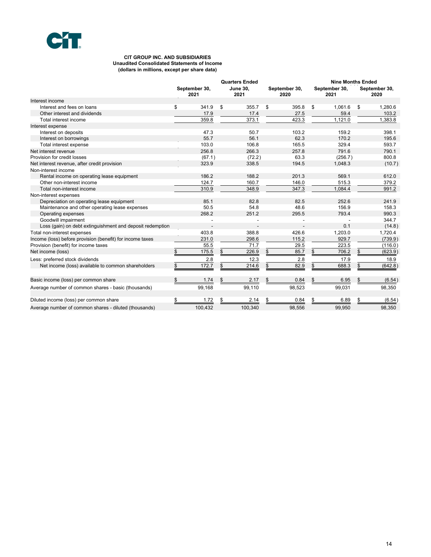

#### **CIT GROUP INC. AND SUBSIDIARIES Unaudited Consolidated Statements of Income (dollars in millions, except per share data)**

|                                                           |                       | <b>Quarters Ended</b>   |                       |    |                       | <b>Nine Months Ended</b> |                       |
|-----------------------------------------------------------|-----------------------|-------------------------|-----------------------|----|-----------------------|--------------------------|-----------------------|
|                                                           | September 30,<br>2021 | <b>June 30.</b><br>2021 | September 30,<br>2020 |    | September 30,<br>2021 |                          | September 30,<br>2020 |
| Interest income                                           |                       |                         |                       |    |                       |                          |                       |
| Interest and fees on loans                                | \$<br>341.9           | \$<br>355.7             | \$<br>395.8           | \$ | 1,061.6               | \$                       | 1,280.6               |
| Other interest and dividends                              | 17.9                  | 17.4                    | 27.5                  |    | 59.4                  |                          | 103.2                 |
| Total interest income                                     | 359.8                 | 373.1                   | 423.3                 |    | 1,121.0               |                          | 1,383.8               |
| Interest expense                                          |                       |                         |                       |    |                       |                          |                       |
| Interest on deposits                                      | 47.3                  | 50.7                    | 103.2                 |    | 159.2                 |                          | 398.1                 |
| Interest on borrowings                                    | 55.7                  | 56.1                    | 62.3                  |    | 170.2                 |                          | 195.6                 |
| Total interest expense                                    | 103.0                 | 106.8                   | 165.5                 |    | 329.4                 |                          | 593.7                 |
| Net interest revenue                                      | 256.8                 | 266.3                   | 257.8                 |    | 791.6                 |                          | 790.1                 |
| Provision for credit losses                               | (67.1)                | (72.2)                  | 63.3                  |    | (256.7)               |                          | 800.8                 |
| Net interest revenue, after credit provision              | 323.9                 | 338.5                   | 194.5                 |    | 1,048.3               |                          | (10.7)                |
| Non-interest income                                       |                       |                         |                       |    |                       |                          |                       |
| Rental income on operating lease equipment                | 186.2                 | 188.2                   | 201.3                 |    | 569.1                 |                          | 612.0                 |
| Other non-interest income                                 | 124.7                 | 160.7                   | 146.0                 |    | 515.3                 |                          | 379.2                 |
| Total non-interest income                                 | 310.9                 | 348.9                   | 347.3                 |    | 1,084.4               |                          | 991.2                 |
| Non-interest expenses                                     |                       |                         |                       |    |                       |                          |                       |
| Depreciation on operating lease equipment                 | 85.1                  | 82.8                    | 82.5                  |    | 252.6                 |                          | 241.9                 |
| Maintenance and other operating lease expenses            | 50.5                  | 54.8                    | 48.6                  |    | 156.9                 |                          | 158.3                 |
| Operating expenses                                        | 268.2                 | 251.2                   | 295.5                 |    | 793.4                 |                          | 990.3                 |
| Goodwill impairment                                       | ÷.                    | $\overline{a}$          |                       |    |                       |                          | 344.7                 |
| Loss (gain) on debt extinguishment and deposit redemption |                       |                         |                       |    | 0.1                   |                          | (14.8)                |
| Total non-interest expenses                               | 403.8                 | 388.8                   | 426.6                 |    | 1.203.0               |                          | 1,720.4               |
| Income (loss) before provision (benefit) for income taxes | 231.0                 | 298.6                   | 115.2                 |    | 929.7                 |                          | (739.9)               |
| Provision (benefit) for income taxes                      | 55.5                  | 71.7                    | 29.5                  |    | 223.5                 |                          | (116.0)               |
| Net income (loss)                                         | \$<br>175.5           | \$<br>226.9             | 85.7<br>\$            | \$ | 706.2                 | \$                       | (623.9)               |
| Less: preferred stock dividends                           | 2.8                   | 12.3                    | 2.8                   |    | 17.9                  |                          | 18.9                  |
| Net income (loss) available to common shareholders        | \$<br>172.7           | \$<br>214.6             | \$<br>82.9            | \$ | 688.3                 | \$                       | (642.8)               |
| Basic income (loss) per common share                      | \$<br>1.74            | 2.17                    | 0.84<br>\$            | \$ | 6.95                  |                          | (6.54)                |
| Average number of common shares - basic (thousands)       | 99,168                | 99,110                  | 98,523                |    | 99,031                |                          | 98,350                |
| Diluted income (loss) per common share                    | \$<br>1.72            | \$<br>2.14              | 0.84<br>\$            | \$ | 6.89                  | \$                       | (6.54)                |
| Average number of common shares - diluted (thousands)     | 100,432               | 100,340                 | 98,556                |    | 99,950                |                          | 98,350                |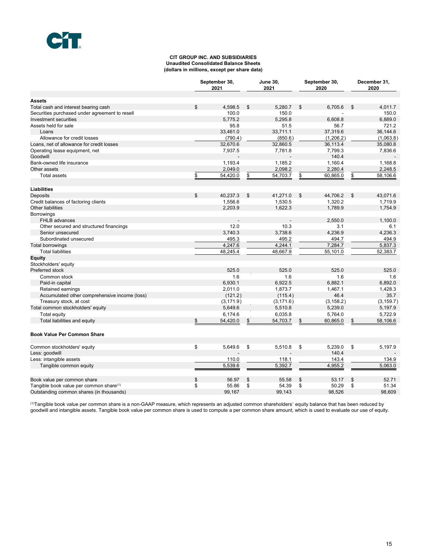#### **CIT GROUP INC. AND SUBSIDIARIES Unaudited Consolidated Balance Sheets (dollars in millions, except per share data)**

|                                                     |               | September 30,<br>2021 | <b>June 30,</b><br>2021 | September 30,<br>2020 | December 31,<br>2020 |
|-----------------------------------------------------|---------------|-----------------------|-------------------------|-----------------------|----------------------|
| <b>Assets</b>                                       |               |                       |                         |                       |                      |
| Total cash and interest bearing cash                | \$            | 4,598.5               | \$<br>5,280.7           | \$<br>6,705.6         | \$<br>4,011.7        |
| Securities purchased under agreement to resell      |               | 100.0                 | 150.0                   |                       | 150.0                |
| Investment securities                               |               | 5,775.2               | 5,295.8                 | 6,608.8               | 6,889.0              |
| Assets held for sale                                |               | 95.8                  | 51.5                    | 56.7                  | 721.2                |
| Loans                                               |               | 33,461.0              | 33,711.1                | 37,319.6              | 36,144.6             |
| Allowance for credit losses                         |               | (790.4)               | (850.6)                 | (1,206.2)             | (1,063.8)            |
| Loans, net of allowance for credit losses           |               | 32,670.6              | 32,860.5                | 36,113.4              | 35,080.8             |
| Operating lease equipment, net<br>Goodwill          |               | 7,937.5               | 7,781.8                 | 7,799.3<br>140.4      | 7,836.6              |
| Bank-owned life insurance                           |               | 1,193.4               | 1,185.2                 | 1,160.4               | 1,168.8              |
| Other assets                                        |               | 2,049.0               | 2,098.2                 | 2,280.4               | 2,248.5              |
| <b>Total assets</b>                                 |               |                       |                         |                       |                      |
|                                                     | $\frac{1}{2}$ | 54,420.0              | \$<br>54,703.7          | \$<br>60,865.0        | \$<br>58,106.6       |
| <b>Liabilities</b>                                  |               |                       |                         |                       |                      |
| <b>Deposits</b>                                     | \$            | 40,237.3              | \$<br>41,271.0          | \$<br>44,706.2        | \$<br>43,071.6       |
| Credit balances of factoring clients                |               | 1,556.6               | 1,530.5                 | 1,320.2               | 1,719.9              |
| Other liabilities                                   |               | 2,203.9               | 1,622.3                 | 1,789.9               | 1,754.9              |
| <b>Borrowings</b>                                   |               |                       |                         |                       |                      |
| FHLB advances                                       |               |                       |                         | 2.550.0               | 1,100.0              |
| Other secured and structured financings             |               | 12.0                  | 10.3                    | 3.1                   | 6.1                  |
| Senior unsecured                                    |               | 3.740.3               | 3.738.6                 | 4.236.9               | 4.236.3              |
| Subordinated unsecured                              |               | 495.3                 | 495.2                   | 494.7                 | 494.9                |
| Total borrowings                                    |               | 4,247.6               | 4,244.1                 | 7,284.7               | 5,837.3              |
| <b>Total liabilities</b>                            |               | 48,245.4              | 48,667.9                | 55,101.0              | 52,383.7             |
| Equity                                              |               |                       |                         |                       |                      |
| Stockholders' equity                                |               |                       |                         |                       |                      |
| Preferred stock                                     |               | 525.0                 | 525.0                   | 525.0                 | 525.0                |
| Common stock                                        |               | 1.6                   | 1.6                     | 1.6                   | 1.6                  |
| Paid-in capital                                     |               | 6,930.1               | 6,922.5                 | 6,882.1               | 6,892.0              |
| Retained earnings                                   |               | 2,011.0               | 1,873.7                 | 1,467.1               | 1,428.3              |
| Accumulated other comprehensive income (loss)       |               | (121.2)               | (115.4)                 | 46.4                  | 35.7                 |
| Treasury stock, at cost                             |               | (3, 171.9)            | (3, 171.6)              | (3, 158.2)            | (3, 159.7)           |
| Total common stockholders' equity                   |               | 5,649.6               | 5,510.8                 | 5,239.0               | 5,197.9              |
| Total equity                                        |               | 6,174.6               | 6,035.8                 | 5,764.0               | 5,722.9              |
| Total liabilities and equity                        | \$            | 54,420.0              | \$<br>54,703.7          | \$<br>60,865.0        | \$<br>58,106.6       |
| <b>Book Value Per Common Share</b>                  |               |                       |                         |                       |                      |
| Common stockholders' equity                         | \$            | 5,649.6               | \$<br>5,510.8           | \$<br>5,239.0         | \$<br>5,197.9        |
| Less: goodwill                                      |               |                       |                         | 140.4                 |                      |
| Less: intangible assets                             |               | 110.0                 | 118.1                   | 143.4                 | 134.9                |
| Tangible common equity                              |               | 5,539.6               | 5,392.7                 | 4,955.2               | 5,063.0              |
| Book value per common share                         | \$            | 56.97                 | \$<br>55.58             | \$<br>53.17           | \$<br>52.71          |
| Tangible book value per common share <sup>(1)</sup> | \$            | 55.86                 | \$<br>54.39             | \$<br>50.29           | \$<br>51.34          |
| Outstanding common shares (in thousands)            |               | 99.167                | 99.143                  | 98,526                | 98.609               |

 (1)Tangible book value per common share is a non-GAAP measure, which represents an adjusted common shareholders' equity balance that has been reduced by goodwill and intangible assets. Tangible book value per common share is used to compute a per common share amount, which is used to evaluate our use of equity.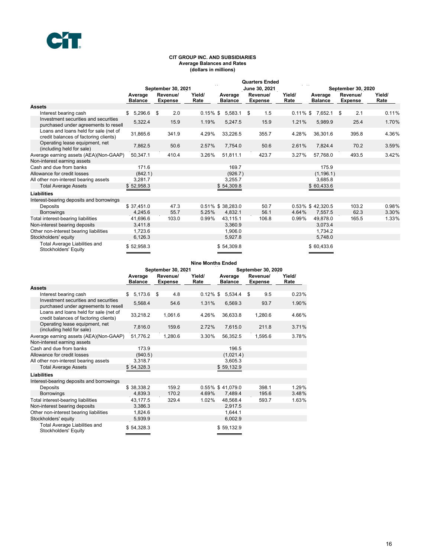#### **CIT GROUP INC. AND SUBSIDIARIES Average Balances and Rates (dollars in millions)**

|                                                                                |                           |                            |                |                           | <b>Quarters Ended</b>      |                |                           |                            |                |
|--------------------------------------------------------------------------------|---------------------------|----------------------------|----------------|---------------------------|----------------------------|----------------|---------------------------|----------------------------|----------------|
|                                                                                |                           | September 30, 2021         |                |                           | June 30, 2021              |                |                           | September 30, 2020         |                |
|                                                                                | Average<br><b>Balance</b> | Revenue/<br><b>Expense</b> | Yield/<br>Rate | Average<br><b>Balance</b> | Revenue/<br><b>Expense</b> | Yield/<br>Rate | Average<br><b>Balance</b> | Revenue/<br><b>Expense</b> | Yield/<br>Rate |
| <b>Assets</b>                                                                  |                           |                            |                |                           |                            |                |                           |                            |                |
| Interest bearing cash                                                          | 5,296.6<br>\$             | - \$<br>2.0                | $0.15\%$ \$    | 5.583.1                   | 1.5<br>\$                  | $0.11\%$ \$    | 7,652.1                   | 2.1<br>- \$                | 0.11%          |
| Investment securities and securities<br>purchased under agreements to resell   | 5,322.4                   | 15.9                       | 1.19%          | 5,247.5                   | 15.9                       | 1.21%          | 5,989.9                   | 25.4                       | 1.70%          |
| Loans and loans held for sale (net of<br>credit balances of factoring clients) | 31,865.6                  | 341.9                      | 4.29%          | 33,226.5                  | 355.7                      | 4.28%          | 36,301.6                  | 395.8                      | 4.36%          |
| Operating lease equipment, net<br>(including held for sale)                    | 7,862.5                   | 50.6                       | 2.57%          | 7,754.0                   | 50.6                       | 2.61%          | 7,824.4                   | 70.2                       | 3.59%          |
| Average earning assets (AEA)(Non-GAAP)                                         | 50,347.1                  | 410.4                      | 3.26%          | 51,811.1                  | 423.7                      | 3.27%          | 57,768.0                  | 493.5                      | 3.42%          |
| Non-interest earning assets                                                    |                           |                            |                |                           |                            |                |                           |                            |                |
| Cash and due from banks                                                        | 171.6                     |                            |                | 169.7                     |                            |                | 175.9                     |                            |                |
| Allowance for credit losses                                                    | (842.1)                   |                            |                | (926.7)                   |                            |                | (1, 196.1)                |                            |                |
| All other non-interest bearing assets                                          | 3,281.7                   |                            |                | 3,255.7                   |                            |                | 3,685.8                   |                            |                |
| <b>Total Average Assets</b>                                                    | \$52,958.3                |                            |                | \$54,309.8                |                            |                | \$60,433.6                |                            |                |
| <b>Liabilities</b>                                                             |                           |                            |                |                           |                            |                |                           |                            |                |
| Interest-bearing deposits and borrowings                                       |                           |                            |                |                           |                            |                |                           |                            |                |
| Deposits                                                                       | \$37.451.0                | 47.3                       |                | 0.51% \$38.283.0          | 50.7                       |                | 0.53% \$42,320.5          | 103.2                      | 0.98%          |
| <b>Borrowings</b>                                                              | 4,245.6                   | 55.7                       | 5.25%          | 4,832.1                   | 56.1                       | 4.64%          | 7,557.5                   | 62.3                       | 3.30%          |
| Total interest-bearing liabilities                                             | 41,696.6                  | 103.0                      | 0.99%          | 43,115.1                  | 106.8                      | 0.99%          | 49,878.0                  | 165.5                      | 1.33%          |
| Non-interest bearing deposits                                                  | 3,411.8                   |                            |                | 3.360.9                   |                            |                | 3.073.4                   |                            |                |
| Other non-interest bearing liabilities                                         | 1,723.6                   |                            |                | 1,906.0                   |                            |                | 1,734.2                   |                            |                |
| Stockholders' equity                                                           | 6,126.3                   |                            |                | 5,927.8                   |                            |                | 5,748.0                   |                            |                |
| Total Average Liabilities and<br>Stockholders' Equity                          | \$52,958.3                |                            |                | \$54,309.8                |                            |                | \$60,433.6                |                            |                |

|                                                                                |                           |                            | <b>Nine Months Ended</b> |                           |                            |                |
|--------------------------------------------------------------------------------|---------------------------|----------------------------|--------------------------|---------------------------|----------------------------|----------------|
|                                                                                |                           | September 30, 2021         |                          |                           | <b>September 30, 2020</b>  |                |
|                                                                                | Average<br><b>Balance</b> | Revenue/<br><b>Expense</b> | Yield/<br>Rate           | Average<br><b>Balance</b> | Revenue/<br><b>Expense</b> | Yield/<br>Rate |
| <b>Assets</b>                                                                  |                           |                            |                          |                           |                            |                |
| Interest bearing cash                                                          | 5,173.6<br>\$.            | 4.8<br>\$                  | $0.12\%$ \$              | 5,534.4                   | 9.5<br>\$                  | 0.23%          |
| Investment securities and securities<br>purchased under agreements to resell   | 5,568.4                   | 54.6                       | 1.31%                    | 6,569.3                   | 93.7                       | 1.90%          |
| Loans and loans held for sale (net of<br>credit balances of factoring clients) | 33.218.2                  | 1.061.6                    | 4.26%                    | 36.633.8                  | 1,280.6                    | 4.66%          |
| Operating lease equipment, net<br>(including held for sale)                    | 7,816.0                   | 159.6                      | 2.72%                    | 7,615.0                   | 211.8                      | 3.71%          |
| Average earning assets (AEA)(Non-GAAP)                                         | 51.776.2                  | 1,280.6                    | 3.30%                    | 56,352.5                  | 1,595.6                    | 3.78%          |
| Non-interest earning assets                                                    |                           |                            |                          |                           |                            |                |
| Cash and due from banks                                                        | 173.9                     |                            |                          | 196.5                     |                            |                |
| Allowance for credit losses                                                    | (940.5)                   |                            |                          | (1,021.4)                 |                            |                |
| All other non-interest bearing assets                                          | 3,318.7                   |                            |                          | 3,605.3                   |                            |                |
| <b>Total Average Assets</b>                                                    | \$54,328.3                |                            |                          | \$59,132.9                |                            |                |
| <b>Liabilities</b>                                                             |                           |                            |                          |                           |                            |                |
| Interest-bearing deposits and borrowings                                       |                           |                            |                          |                           |                            |                |
| Deposits                                                                       | \$38,338.2                | 159.2                      |                          | 0.55% \$41,079.0          | 398.1                      | 1.29%          |
| <b>Borrowings</b>                                                              | 4.839.3                   | 170.2                      | 4.69%                    | 7,489.4                   | 195.6                      | 3.48%          |
| Total interest-bearing liabilities                                             | 43.177.5                  | 329.4                      | 1.02%                    | 48.568.4                  | 593.7                      | 1.63%          |
| Non-interest bearing deposits                                                  | 3,386.3                   |                            |                          | 2,917.5                   |                            |                |
| Other non-interest bearing liabilities                                         | 1,824.6                   |                            |                          | 1,644.1                   |                            |                |
| Stockholders' equity                                                           | 5,939.9                   |                            |                          | 6,002.9                   |                            |                |
| <b>Total Average Liabilities and</b><br>Stockholders' Equity                   | \$54,328.3                |                            |                          | \$59,132.9                |                            |                |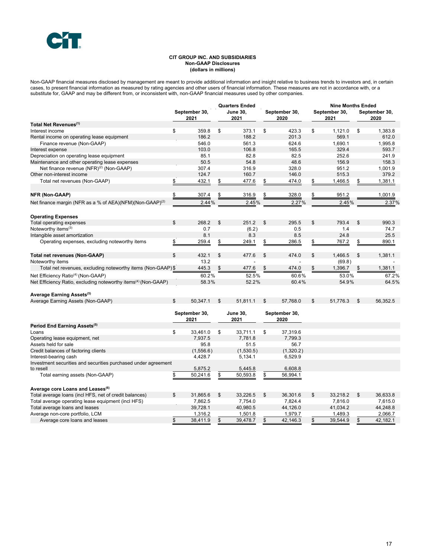#### **CIT GROUP INC. AND SUBSIDIARIES Non-GAAP Disclosures (dollars in millions)**

Non-GAAP financial measures disclosed by management are meant to provide additional information and insight relative to business trends to investors and, in certain cases, to present financial information as measured by rating agencies and other users of financial information. These measures are not in accordance with, or a substitute for, GAAP and may be different from, or inconsistent with, non-GAAP financial measures used by other companies.

|                                                                                                                              |                       |               |    | <b>Quarters Ended</b> |               |                |    | <b>Nine Months Ended</b> |    |                |  |  |
|------------------------------------------------------------------------------------------------------------------------------|-----------------------|---------------|----|-----------------------|---------------|----------------|----|--------------------------|----|----------------|--|--|
|                                                                                                                              |                       | September 30, |    | <b>June 30,</b>       |               | September 30,  |    | September 30,            |    | September 30,  |  |  |
|                                                                                                                              |                       | 2021          |    | 2021                  |               | 2020           |    | 2021                     |    | 2020           |  |  |
| Total Net Revenues <sup>(1)</sup>                                                                                            |                       |               |    |                       |               |                |    |                          |    |                |  |  |
| Interest income                                                                                                              | \$                    | 359.8         | \$ | 373.1                 | \$            | 423.3          | \$ | 1,121.0                  | \$ | 1,383.8        |  |  |
| Rental income on operating lease equipment                                                                                   |                       | 186.2         |    | 188.2                 |               | 201.3          |    | 569.1                    |    | 612.0          |  |  |
| Finance revenue (Non-GAAP)                                                                                                   |                       | 546.0         |    | 561.3                 |               | 624.6          |    | 1,690.1                  |    | 1.995.8        |  |  |
| Interest expense                                                                                                             |                       | 103.0         |    | 106.8                 |               | 165.5          |    | 329.4                    |    | 593.7          |  |  |
| Depreciation on operating lease equipment                                                                                    |                       | 85.1          |    | 82.8                  |               | 82.5           |    | 252.6                    |    | 241.9          |  |  |
| Maintenance and other operating lease expenses                                                                               |                       | 50.5          |    | 54.8                  |               | 48.6           |    | 156.9                    |    | 158.3          |  |  |
| Net finance revenue (NFR) <sup>(2)</sup> (Non-GAAP)                                                                          |                       | 307.4         |    | 316.9                 |               | 328.0          |    | 951.2                    |    | 1,001.9        |  |  |
| Other non-interest income                                                                                                    |                       | 124.7         |    | 160.7                 |               | 146.0          |    | 515.3                    |    | 379.2          |  |  |
| Total net revenues (Non-GAAP)                                                                                                | \$                    | 432.1         | \$ | 477.6                 | \$            | 474.0          | \$ | 1,466.5                  | \$ | 1,381.1        |  |  |
|                                                                                                                              |                       |               |    |                       |               |                |    |                          |    |                |  |  |
| NFR (Non-GAAP)                                                                                                               | \$                    | 307.4         | \$ | 316.9                 |               | 328.0          |    | 951.2                    |    | 1,001.9        |  |  |
| Net finance margin (NFR as a % of AEA)(NFM)(Non-GAAP) <sup>(2)</sup>                                                         |                       | 2.44%         |    | 2.45%                 |               | 2.27%          |    | 2.45%                    |    | 2.37%          |  |  |
| <b>Operating Expenses</b>                                                                                                    |                       |               |    |                       |               |                |    |                          |    |                |  |  |
| Total operating expenses                                                                                                     | \$                    | 268.2         | \$ | 251.2                 | \$            | 295.5          | \$ | 793.4                    | \$ | 990.3          |  |  |
| Noteworthy items $(3)$                                                                                                       |                       | 0.7           |    | (6.2)                 |               | 0.5            |    | 1.4                      |    | 74.7           |  |  |
| Intangible asset amortization                                                                                                |                       | 8.1           |    | 8.3                   |               | 8.5            |    | 24.8                     |    | 25.5           |  |  |
| Operating expenses, excluding noteworthy items                                                                               | \$                    | 259.4         | \$ | 249.1                 | \$            | 286.5          | \$ | 767.2                    | \$ | 890.1          |  |  |
| <b>Total net revenues (Non-GAAP)</b>                                                                                         | \$                    | 432.1         | \$ | 477.6                 | \$            | 474.0          | \$ | 1,466.5                  | \$ | 1,381.1        |  |  |
| Noteworthy items                                                                                                             |                       | 13.2          |    |                       |               |                |    | (69.8)                   |    |                |  |  |
| Total net revenues, excluding noteworthy items (Non-GAAP)\$                                                                  |                       | 445.3         |    | 477.6                 |               | 474.0          |    | 1,396.7                  |    | 1,381.1        |  |  |
|                                                                                                                              |                       | 60.2%         |    | 52.5%                 |               |                |    |                          |    |                |  |  |
| Net Efficiency Ratio <sup>(4)</sup> (Non-GAAP)<br>Net Efficiency Ratio, excluding noteworthy items <sup>(4)</sup> (Non-GAAP) |                       | 58.3%         |    | 52.2%                 |               | 60.6%<br>60.4% |    | 53.0%<br>54.9%           |    | 67.2%<br>64.5% |  |  |
|                                                                                                                              |                       |               |    |                       |               |                |    |                          |    |                |  |  |
| Average Earning Assets <sup>(5)</sup>                                                                                        |                       |               |    |                       |               |                |    |                          |    |                |  |  |
| Average Earning Assets (Non-GAAP)                                                                                            | \$                    | 50,347.1      | \$ | 51,811.1              | \$            | 57,768.0       | \$ | 51,776.3                 | \$ | 56,352.5       |  |  |
|                                                                                                                              | September 30,<br>2021 |               |    | <b>June 30,</b>       | September 30, |                |    |                          |    |                |  |  |
|                                                                                                                              |                       |               |    | 2021                  |               | 2020           |    |                          |    |                |  |  |
| Period End Earning Assets <sup>(5)</sup>                                                                                     |                       |               |    |                       |               |                |    |                          |    |                |  |  |
| Loans                                                                                                                        | \$                    | 33,461.0      | \$ | 33,711.1              | \$            | 37,319.6       |    |                          |    |                |  |  |
| Operating lease equipment, net                                                                                               |                       | 7,937.5       |    | 7,781.8               |               | 7,799.3        |    |                          |    |                |  |  |
| Assets held for sale                                                                                                         |                       | 95.8          |    | 51.5                  |               | 56.7           |    |                          |    |                |  |  |
| Credit balances of factoring clients                                                                                         |                       | (1,556.6)     |    | (1,530.5)             |               | (1,320.2)      |    |                          |    |                |  |  |
| Interest-bearing cash                                                                                                        |                       | 4,428.7       |    | 5,134.1               |               | 6,529.9        |    |                          |    |                |  |  |
| Investment securities and securities purchased under agreement                                                               |                       |               |    |                       |               |                |    |                          |    |                |  |  |
| to resell                                                                                                                    |                       | 5,875.2       |    | 5,445.8               |               | 6,608.8        |    |                          |    |                |  |  |
| Total earning assets (Non-GAAP)                                                                                              | \$                    | 50,241.6      | \$ | 50,593.8              | \$            | 56,994.1       |    |                          |    |                |  |  |
| Average core Loans and Leases <sup>(6)</sup>                                                                                 |                       |               |    |                       |               |                |    |                          |    |                |  |  |
| Total average loans (incl HFS, net of credit balances)                                                                       | \$                    | 31,865.6      | \$ | 33,226.5              | \$            | 36,301.6       | \$ | 33,218.2                 | \$ | 36,633.8       |  |  |
| Total average operating lease equipment (incl HFS)                                                                           |                       | 7,862.5       |    | 7,754.0               |               | 7,824.4        |    | 7,816.0                  |    | 7,615.0        |  |  |
| Total average loans and leases                                                                                               |                       | 39,728.1      |    | 40,980.5              |               | 44,126.0       |    | 41,034.2                 |    | 44,248.8       |  |  |
| Average non-core portfolio, LCM                                                                                              |                       | 1,316.2       |    | 1,501.8               |               | 1,979.7        |    | 1,489.3                  |    | 2,066.7        |  |  |
| Average core loans and leases                                                                                                | \$                    | 38,411.9      | \$ | 39,478.7              | \$            | 42,146.3       | \$ | 39,544.9                 | \$ | 42,182.1       |  |  |
|                                                                                                                              |                       |               |    |                       |               |                |    |                          |    |                |  |  |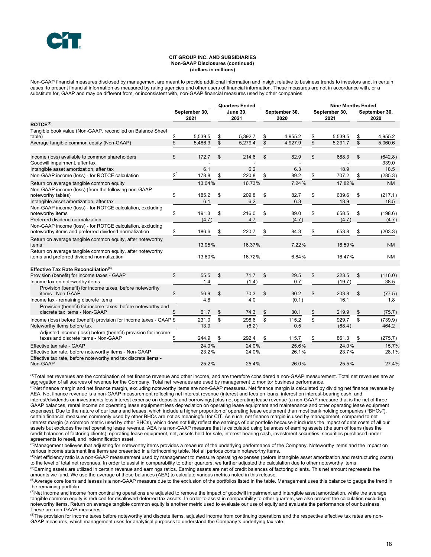#### **CIT GROUP INC. AND SUBSIDIARIES Non-GAAP Disclosures (continued) (dollars in millions)**

Non-GAAP financial measures disclosed by management are meant to provide additional information and insight relative to business trends to investors and, in certain cases, to present financial information as measured by rating agencies and other users of financial information. These measures are not in accordance with, or a substitute for, GAAP and may be different from, or inconsistent with, non-GAAP financial measures used by other companies.

|                                                                                                                          | September 30,<br>2021 |         | <b>Quarters Ended</b><br><b>June 30.</b><br>2021 |         | September 30,<br>2020 |         | <b>Nine Months Ended</b> |         |    |                       |  |
|--------------------------------------------------------------------------------------------------------------------------|-----------------------|---------|--------------------------------------------------|---------|-----------------------|---------|--------------------------|---------|----|-----------------------|--|
|                                                                                                                          |                       |         |                                                  |         |                       |         | September 30,<br>2021    |         |    | September 30,<br>2020 |  |
| ROICE <sup>(7)</sup>                                                                                                     |                       |         |                                                  |         |                       |         |                          |         |    |                       |  |
| Tangible book value (Non-GAAP, reconciled on Balance Sheet                                                               |                       |         |                                                  |         |                       |         |                          |         |    |                       |  |
| table)                                                                                                                   | \$                    | 5,539.5 | \$                                               | 5,392.7 | \$                    | 4,955.2 | \$                       | 5,539.5 | \$ | 4,955.2               |  |
| Average tangible common equity (Non-GAAP)                                                                                | \$                    | 5,486.3 | \$                                               | 5,279.4 | \$                    | 4,927.9 | \$                       | 5,291.7 | \$ | 5,060.6               |  |
| Income (loss) available to common shareholders                                                                           | \$                    | 172.7   | \$                                               | 214.6   | \$                    | 82.9    | \$                       | 688.3   | \$ | (642.8)               |  |
| Goodwill impairment, after tax                                                                                           |                       |         |                                                  |         |                       |         |                          |         |    | 339.0                 |  |
| Intangible asset amortization, after tax                                                                                 |                       | 6.1     |                                                  | 6.2     |                       | 6.3     |                          | 18.9    |    | 18.5                  |  |
| Non-GAAP income (loss) - for ROTCE calculation                                                                           | \$                    | 178.8   | \$                                               | 220.8   | \$                    | 89.2    | \$                       | 707.2   | \$ | (285.3)               |  |
| Return on average tangible common equity                                                                                 |                       | 13.04%  |                                                  | 16.73%  |                       | 7.24%   |                          | 17.82%  |    | <b>NM</b>             |  |
| Non-GAAP income (loss) (from the following non-GAAP<br>noteworthy tables)                                                | \$                    | 185.2   | \$                                               | 209.8   | \$                    | 82.7    | \$                       | 639.6   | \$ | (217.1)               |  |
| Intangible asset amortization, after tax                                                                                 |                       | 6.1     |                                                  | 6.2     |                       | 6.3     |                          | 18.9    |    | 18.5                  |  |
| Non-GAAP income (loss) - for ROTCE calculation, excluding                                                                |                       |         |                                                  |         |                       |         |                          |         |    |                       |  |
| noteworthy items                                                                                                         | \$                    | 191.3   | \$                                               | 216.0   | \$                    | 89.0    | \$                       | 658.5   | \$ | (198.6)               |  |
| Preferred dividend normalization                                                                                         |                       | (4.7)   |                                                  | 4.7     |                       | (4.7)   |                          | (4.7)   |    | (4.7)                 |  |
| Non-GAAP income (loss) - for ROTCE calculation, excluding<br>noteworthy items and preferred dividend normalization       |                       | 186.6   |                                                  | 220.7   | \$                    | 84.3    | \$                       | 653.8   | \$ | (203.3)               |  |
| Return on average tangible common equity, after noteworthy<br>items                                                      |                       | 13.95%  |                                                  | 16.37%  |                       | 7.22%   |                          | 16.59%  |    | <b>NM</b>             |  |
| Return on average tangible common equity, after noteworthy<br>items and preferred dividend normalization                 |                       | 13.60%  |                                                  | 16.72%  |                       | 6.84%   |                          | 16.47%  |    | <b>NM</b>             |  |
|                                                                                                                          |                       |         |                                                  |         |                       |         |                          |         |    |                       |  |
| Effective Tax Rate Reconciliation <sup>(8)</sup>                                                                         |                       |         |                                                  |         |                       |         |                          |         |    |                       |  |
| Provision (benefit) for income taxes - GAAP                                                                              | \$                    | 55.5    | \$                                               | 71.7    | \$                    | 29.5    | \$                       | 223.5   | \$ | (116.0)               |  |
| Income tax on noteworthy items                                                                                           |                       | 1.4     |                                                  | (1.4)   |                       | 0.7     |                          | (19.7)  |    | 38.5                  |  |
| Provision (benefit) for income taxes, before noteworthy<br>items - Non-GAAP                                              | \$                    | 56.9    | \$                                               | 70.3    | \$                    | 30.2    | \$                       | 203.8   | \$ | (77.5)                |  |
| Income tax - remaining discrete items                                                                                    |                       | 4.8     |                                                  | 4.0     |                       | (0.1)   |                          | 16.1    |    | 1.8                   |  |
| Provision (benefit) for income taxes, before noteworthy and                                                              |                       |         |                                                  |         |                       |         |                          |         |    |                       |  |
| discrete tax items - Non-GAAP                                                                                            |                       | 61.7    | \$                                               | 74.3    |                       | 30.1    | \$                       | 219.9   |    | (75.7)                |  |
| Income (loss) before (benefit) provision for income taxes - GAAP \$                                                      |                       | 231.0   | \$                                               | 298.6   | \$                    | 115.2   | \$                       | 929.7   | \$ | (739.9)               |  |
| Noteworthy items before tax                                                                                              |                       | 13.9    |                                                  | (6.2)   |                       | 0.5     |                          | (68.4)  |    | 464.2                 |  |
| Adjusted income (loss) before (benefit) provision for income<br>taxes and discrete items - Non-GAAP                      | \$                    | 244.9   | \$                                               | 292.4   | \$                    | 115.7   | \$                       | 861.3   | \$ | (275.7)               |  |
|                                                                                                                          |                       |         |                                                  |         |                       |         |                          |         |    |                       |  |
| Effective tax rate - GAAP                                                                                                |                       | 24.0%   |                                                  | 24.0%   |                       | 25.6%   |                          | 24.0%   |    | 15.7%                 |  |
| Effective tax rate, before noteworthy items - Non-GAAP<br>Effective tax rate, before noteworthy and tax discrete items - |                       | 23.2%   |                                                  | 24.0%   |                       | 26.1%   |                          | 23.7%   |    | 28.1%                 |  |
| Non-GAAP                                                                                                                 |                       | 25.2%   |                                                  | 25.4%   |                       | 26.0%   |                          | 25.5%   |    | 27.4%                 |  |

 (1)Total net revenues are the combination of net finance revenue and other income, and are therefore considered a non-GAAP measurement. Total net revenues are an aggregation of all sources of revenue for the Company. Total net revenues are used by management to monitor business performance.

<sup>(2)</sup>Net finance margin and net finance margin, excluding noteworthy items are non-GAAP measures. Net finance margin is calculated by dividing net finance revenue by AEA. Net finance revenue is a non-GAAP measurement reflecting net interest revenue (interest and fees on loans, interest on interest-bearing cash, and interest/dividends on investments less interest expense on deposits and borrowings) plus net operating lease revenue (a non-GAAP measure that is the net of three GAAP balances, rental income on operating lease equipment less depreciation on operating lease equipment and maintenance and other operating lease equipment expenses). Due to the nature of our loans and leases, which include a higher proportion of operating lease equipment than most bank holding companies ("BHCs"), certain financial measures commonly used by other BHCs are not as meaningful for CIT. As such, net finance margin is used by management, compared to net interest margin (a common metric used by other BHCs), which does not fully reflect the earnings of our portfolio because it includes the impact of debt costs of all our assets but excludes the net operating lease revenue. AEA is a non-GAAP measure that is calculated using balances of earning assets (the sum of loans (less the credit balances of factoring clients), operating lease equipment, net, assets held for sale, interest-bearing cash, investment securities, securities purchased under agreements to resell, and indemnification asset.

(3)Management believes that adjusting for noteworthy items provides a measure of the underlying performance of the Company. Noteworthy items and the impact on various income statement line items are presented in a forthcoming table. Not all periods contain noteworthy items.

(4)Net efficiency ratio is a non-GAAP measurement used by management to measure operating expenses (before intangible asset amortization and restructuring costs) to the level of total net revenues. In order to assist in comparability to other quarters, we further adjusted the calculation due to other noteworthy items.

<sup>(5)</sup>Earning assets are utilized in certain revenue and earnings ratios. Earning assets are net of credit balances of factoring clients. This net amount represents the amounts we fund. We use the average of these balances (AEA) to calculate various metrics noted in this release.

 $^{(6)}$ Average core loans and leases is a non-GAAP measure due to the exclusion of the portfolios listed in the table. Management uses this balance to gauge the trend in the remaining portfolio.

 $\sigma$ Net income and income from continuing operations are adjusted to remove the impact of goodwill impairment and intangible asset amortization, while the average tangible common equity is reduced for disallowed deferred tax assets. In order to assist in comparability to other quarters, we also present the calculation excluding noteworthy items. Return on average tangible common equity is another metric used to evaluate our use of equity and evaluate the performance of our business. These are non-GAAP measures.

(8)The provision for income taxes before noteworthy and discrete items, adjusted income from continuing operations and the respective effective tax rates are non-GAAP measures, which management uses for analytical purposes to understand the Company's underlying tax rate.